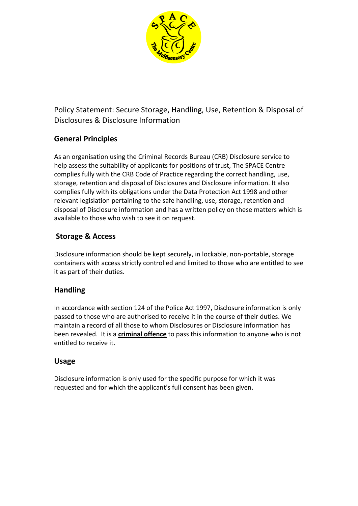

Policy Statement: Secure Storage, Handling, Use, Retention & Disposal of Disclosures & Disclosure Information

# **General Principles**

As an organisation using the Criminal Records Bureau (CRB) Disclosure service to help assess the suitability of applicants for positions of trust, The SPACE Centre complies fully with the CRB Code of Practice regarding the correct handling, use, storage, retention and disposal of Disclosures and Disclosure information. It also complies fully with its obligations under the Data Protection Act 1998 and other relevant legislation pertaining to the safe handling, use, storage, retention and disposal of Disclosure information and has a written policy on these matters which is available to those who wish to see it on request.

# **Storage & Access**

Disclosure information should be kept securely, in lockable, non-portable, storage containers with access strictly controlled and limited to those who are entitled to see it as part of their duties.

# **Handling**

In accordance with section 124 of the Police Act 1997, Disclosure information is only passed to those who are authorised to receive it in the course of their duties. We maintain a record of all those to whom Disclosures or Disclosure information has been revealed. It is a **criminal offence** to pass this information to anyone who is not entitled to receive it.

### **Usage**

Disclosure information is only used for the specific purpose for which it was requested and for which the applicant's full consent has been given.